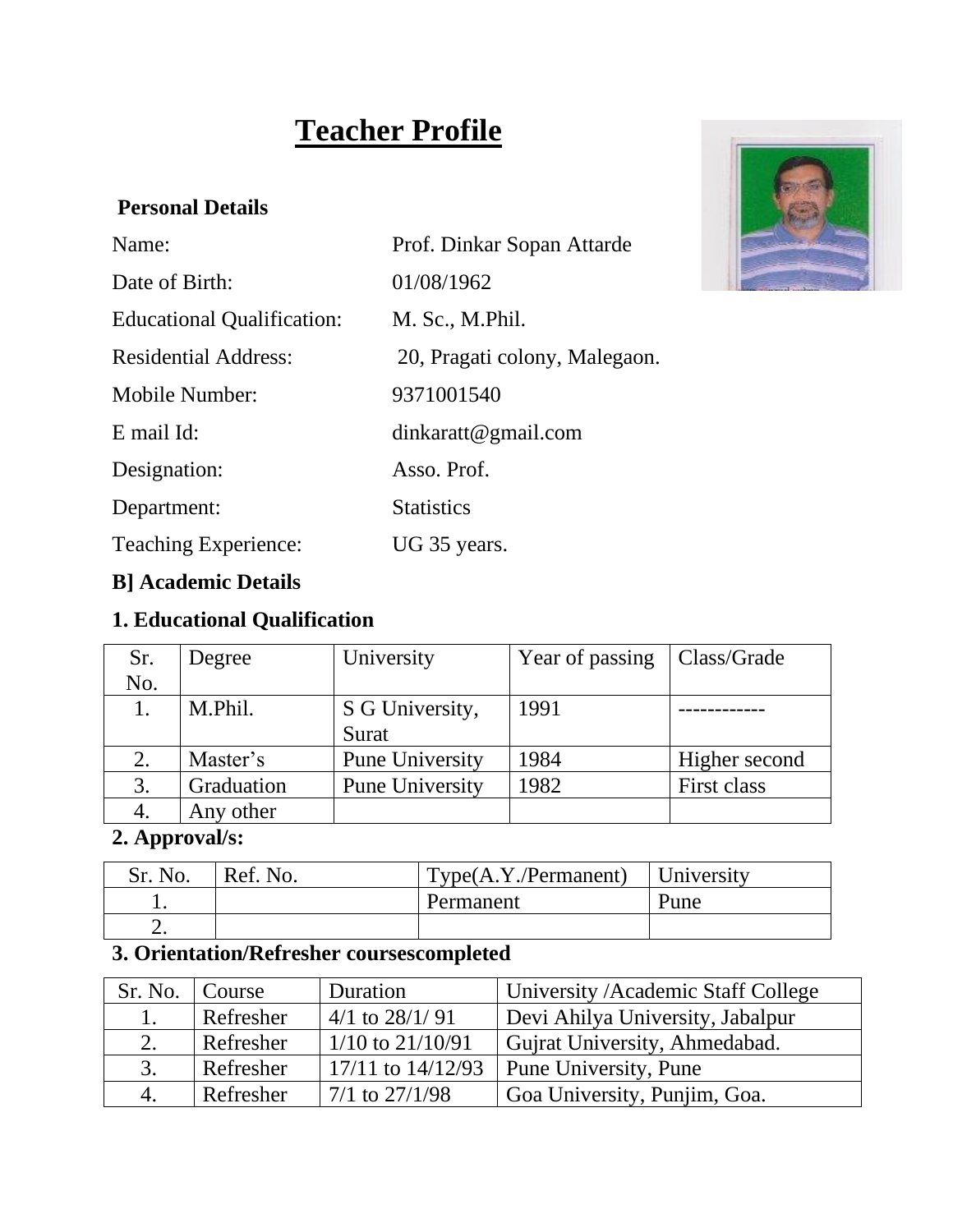# **Teacher Profile**

#### **Personal Details**

| Prof. Dinkar Sopan Attarde    |
|-------------------------------|
| 01/08/1962                    |
| M. Sc., M.Phil.               |
| 20, Pragati colony, Malegaon. |
| 9371001540                    |
| $d$ inkaratt@gmail.com        |
| Asso. Prof.                   |
| <b>Statistics</b>             |
| UG 35 years.                  |
|                               |



## **B] Academic Details**

## **1. Educational Qualification**

| Sr. | Degree     | University             | Year of passing | Class/Grade   |
|-----|------------|------------------------|-----------------|---------------|
| No. |            |                        |                 |               |
|     | M.Phil.    | S G University,        | 1991            |               |
|     |            | Surat                  |                 |               |
|     | Master's   | <b>Pune University</b> | 1984            | Higher second |
| 3.  | Graduation | <b>Pune University</b> | 1982            | First class   |
|     | Any other  |                        |                 |               |

## **2. Approval/s:**

| Sr. No. | Ref. No. | $Type(A.Y./Permannent)$ University |      |
|---------|----------|------------------------------------|------|
|         |          | Permanent                          | Pune |
|         |          |                                    |      |

## **3. Orientation/Refresher coursescompleted**

| Sr. No. | Course    | Duration              | University / Academic Staff College |
|---------|-----------|-----------------------|-------------------------------------|
|         | Refresher | $4/1$ to $28/1/91$    | Devi Ahilya University, Jabalpur    |
| 2.      | Refresher | $1/10$ to $21/10/91$  | Gujrat University, Ahmedabad.       |
| 3.      | Refresher | $17/11$ to $14/12/93$ | <b>Pune University, Pune</b>        |
| 4.      | Refresher | $7/1$ to $27/1/98$    | Goa University, Punjim, Goa.        |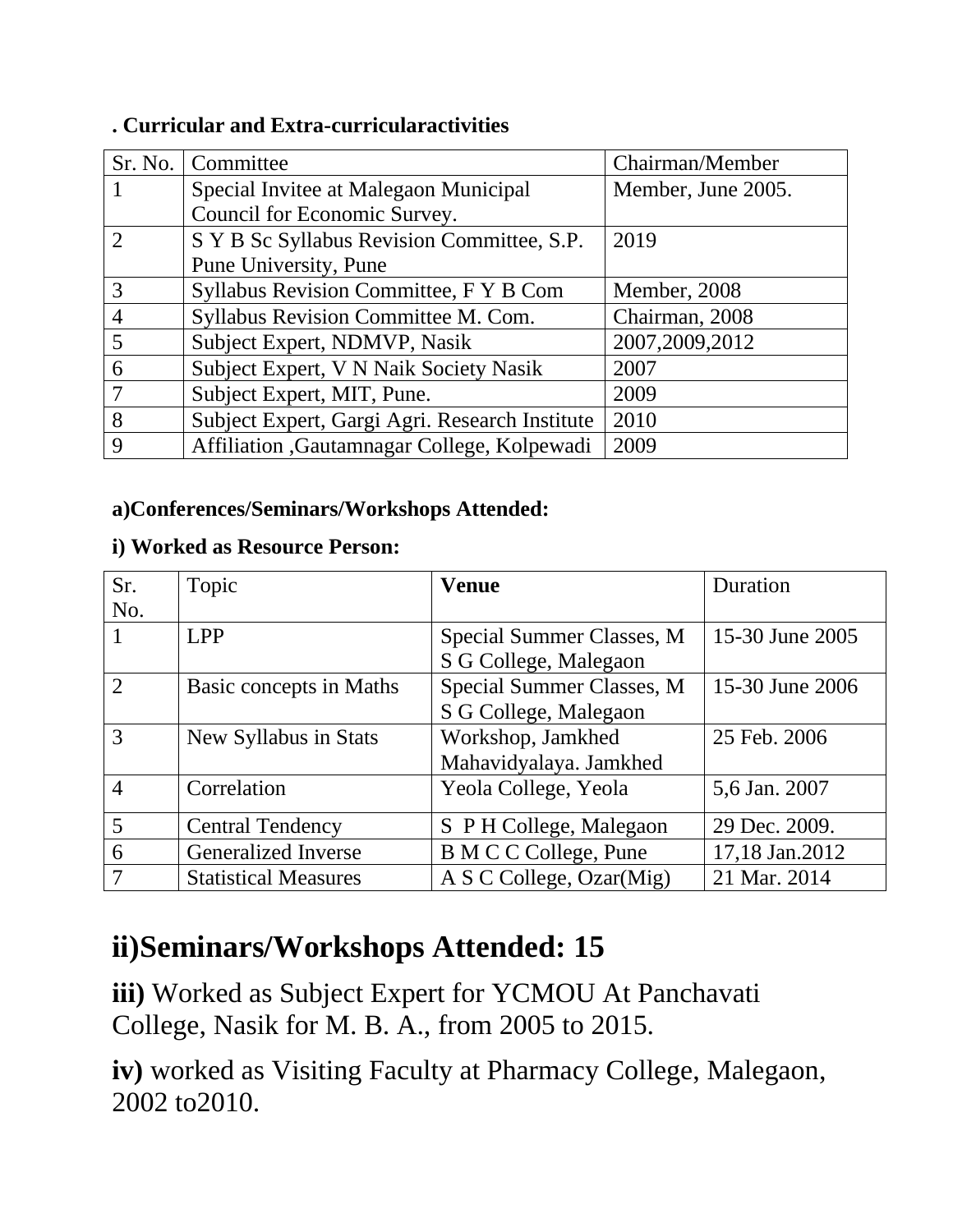|   | Sr. No.   Committee                            | Chairman/Member    |
|---|------------------------------------------------|--------------------|
|   | Special Invitee at Malegaon Municipal          | Member, June 2005. |
|   | Council for Economic Survey.                   |                    |
|   | S Y B Sc Syllabus Revision Committee, S.P.     | 2019               |
|   | Pune University, Pune                          |                    |
| 3 | Syllabus Revision Committee, F Y B Com         | Member, 2008       |
| 4 | Syllabus Revision Committee M. Com.            | Chairman, 2008     |
| 5 | Subject Expert, NDMVP, Nasik                   | 2007, 2009, 2012   |
| 6 | Subject Expert, V N Naik Society Nasik         | 2007               |
|   | Subject Expert, MIT, Pune.                     | 2009               |
| 8 | Subject Expert, Gargi Agri. Research Institute | 2010               |
| 9 | Affiliation , Gautamnagar College, Kolpewadi   | 2009               |

#### **. Curricular and Extra-curricularactivities**

#### **a)Conferences/Seminars/Workshops Attended:**

#### **i) Worked as Resource Person:**

| Sr.            | Topic                       | <b>Venue</b>                 | Duration        |
|----------------|-----------------------------|------------------------------|-----------------|
| No.            |                             |                              |                 |
|                | <b>LPP</b>                  | Special Summer Classes, M    | 15-30 June 2005 |
|                |                             | S G College, Malegaon        |                 |
| $\overline{2}$ | Basic concepts in Maths     | Special Summer Classes, M    | 15-30 June 2006 |
|                |                             | S G College, Malegaon        |                 |
| $\mathcal{R}$  | New Syllabus in Stats       | Workshop, Jamkhed            | 25 Feb. 2006    |
|                |                             | Mahavidyalaya. Jamkhed       |                 |
| $\overline{4}$ | Correlation                 | Yeola College, Yeola         | 5,6 Jan. 2007   |
| 5              | <b>Central Tendency</b>     | S P H College, Malegaon      | 29 Dec. 2009.   |
| 6              | <b>Generalized Inverse</b>  | <b>B</b> M C C College, Pune | 17,18 Jan.2012  |
|                | <b>Statistical Measures</b> | A S C College, Ozar(Mig)     | 21 Mar. 2014    |

## **ii)Seminars/Workshops Attended: 15**

**iii)** Worked as Subject Expert for YCMOU At Panchavati College, Nasik for M. B. A., from 2005 to 2015.

**iv)** worked as Visiting Faculty at Pharmacy College, Malegaon, 2002 to2010.